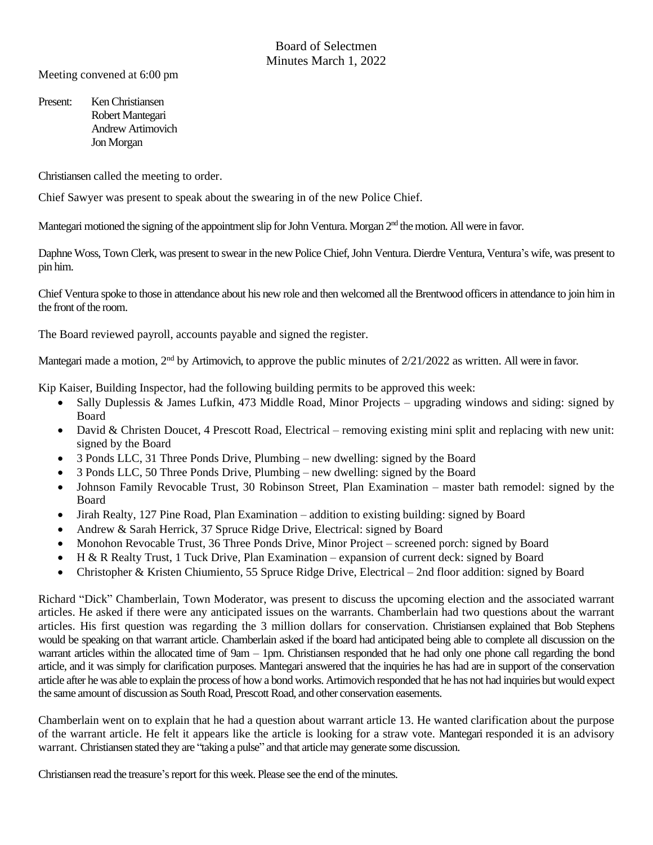Meeting convened at 6:00 pm

Present: Ken Christiansen Robert Mantegari Andrew Artimovich Jon Morgan

Christiansen called the meeting to order.

Chief Sawyer was present to speak about the swearing in of the new Police Chief.

Mantegari motioned the signing of the appointment slip for John Ventura. Morgan 2<sup>nd</sup> the motion. All were in favor.

Daphne Woss, Town Clerk, was present to swear in the new Police Chief, John Ventura. Dierdre Ventura, Ventura's wife, was present to pin him.

Chief Ventura spoke to those in attendance about his new role and then welcomed all the Brentwood officers in attendance to join him in the front of the room.

The Board reviewed payroll, accounts payable and signed the register.

Mantegari made a motion,  $2<sup>nd</sup>$  by Artimovich, to approve the public minutes of  $2/21/2022$  as written. All were in favor.

Kip Kaiser, Building Inspector, had the following building permits to be approved this week:

- Sally Duplessis & James Lufkin, 473 Middle Road, Minor Projects upgrading windows and siding: signed by Board
- David & Christen Doucet, 4 Prescott Road, Electrical removing existing mini split and replacing with new unit: signed by the Board
- 3 Ponds LLC, 31 Three Ponds Drive, Plumbing new dwelling: signed by the Board
- 3 Ponds LLC, 50 Three Ponds Drive, Plumbing new dwelling: signed by the Board
- Johnson Family Revocable Trust, 30 Robinson Street, Plan Examination master bath remodel: signed by the Board
- Jirah Realty, 127 Pine Road, Plan Examination addition to existing building: signed by Board
- Andrew & Sarah Herrick, 37 Spruce Ridge Drive, Electrical: signed by Board
- Monohon Revocable Trust, 36 Three Ponds Drive, Minor Project screened porch: signed by Board
- H & R Realty Trust, 1 Tuck Drive, Plan Examination expansion of current deck: signed by Board
- Christopher & Kristen Chiumiento, 55 Spruce Ridge Drive, Electrical 2nd floor addition: signed by Board

Richard "Dick" Chamberlain, Town Moderator, was present to discuss the upcoming election and the associated warrant articles. He asked if there were any anticipated issues on the warrants. Chamberlain had two questions about the warrant articles. His first question was regarding the 3 million dollars for conservation. Christiansen explained that Bob Stephens would be speaking on that warrant article. Chamberlain asked if the board had anticipated being able to complete all discussion on the warrant articles within the allocated time of 9am – 1pm. Christiansen responded that he had only one phone call regarding the bond article, and it was simply for clarification purposes. Mantegari answered that the inquiries he has had are in support of the conservation article after he was able to explain the process of how a bond works. Artimovich responded that he has not had inquiries but would expect the same amount of discussion as South Road, Prescott Road, and other conservation easements.

Chamberlain went on to explain that he had a question about warrant article 13. He wanted clarification about the purpose of the warrant article. He felt it appears like the article is looking for a straw vote. Mantegari responded it is an advisory warrant. Christiansen stated they are "taking a pulse" and that article may generate some discussion.

Christiansen read the treasure's report for this week. Please see the end of the minutes.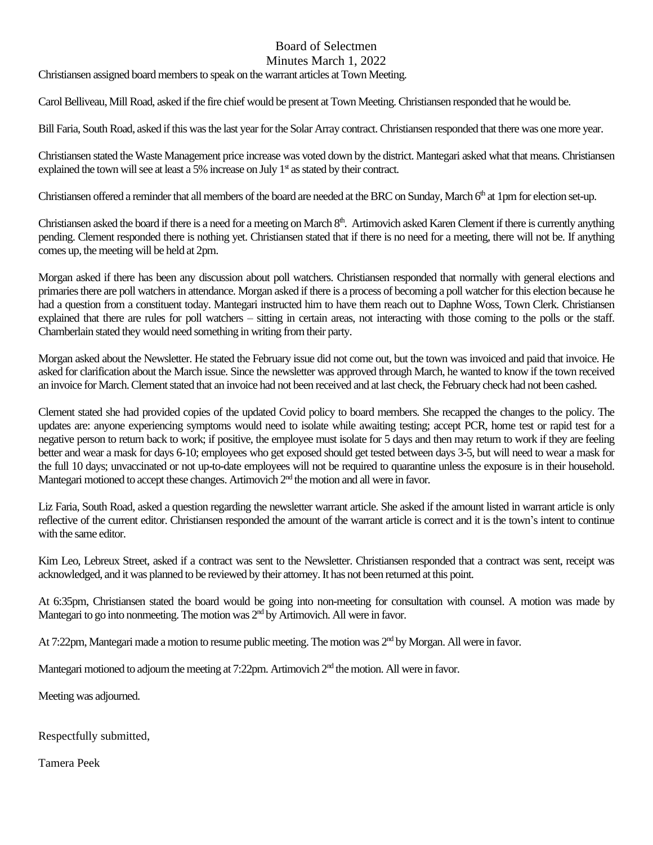## Board of Selectmen

Minutes March 1, 2022

Christiansen assigned board members to speak on the warrant articles at Town Meeting.

Carol Belliveau, Mill Road, asked if the fire chief would be present at Town Meeting.Christiansen responded that he would be.

Bill Faria, South Road, asked if this wasthe last year forthe Solar Array contract. Christiansen responded that there was one more year.

Christiansen stated the Waste Management price increase was voted down by the district. Mantegari asked what that means. Christiansen explained the town will see at least a 5% increase on July  $1<sup>st</sup>$  as stated by their contract.

Christiansen offered a reminder that all members of the board are needed at the BRC on Sunday, March  $6<sup>th</sup>$  at 1pm for election set-up.

Christiansen asked the board if there is a need for a meeting on March 8<sup>th</sup>. Artimovich asked Karen Clement if there is currently anything pending. Clement responded there is nothing yet. Christiansen stated that if there is no need for a meeting, there will not be. If anything comes up, the meeting will be held at 2pm.

Morgan asked if there has been any discussion about poll watchers. Christiansen responded that normally with general elections and primaries there are poll watchersin attendance. Morgan asked if there is a process of becoming a poll watcher for this election because he had a question from a constituent today. Mantegari instructed him to have them reach out to Daphne Woss, Town Clerk. Christiansen explained that there are rules for poll watchers – sitting in certain areas, not interacting with those coming to the polls or the staff. Chamberlain stated they would need something in writing from their party.

Morgan asked about the Newsletter. He stated the February issue did not come out, but the town was invoiced and paid that invoice. He asked for clarification about the March issue. Since the newsletter was approved through March, he wanted to know if the town received an invoice for March. Clement stated that an invoice had not been received and at last check, the February check had not been cashed.

Clement stated she had provided copies of the updated Covid policy to board members. She recapped the changes to the policy. The updates are: anyone experiencing symptoms would need to isolate while awaiting testing; accept PCR, home test or rapid test for a negative person to return back to work; if positive, the employee must isolate for 5 days and then may return to work if they are feeling better and wear a mask for days 6-10; employees who get exposed should get tested between days 3-5, but will need to wear a mask for the full 10 days; unvaccinated or not up-to-date employees will not be required to quarantine unless the exposure is in their household. Mantegari motioned to accept these changes. Artimovich  $2<sup>nd</sup>$  the motion and all were in favor.

Liz Faria, South Road, asked a question regarding the newsletter warrant article. She asked if the amount listed in warrant article is only reflective of the current editor. Christiansen responded the amount of the warrant article is correct and it is the town's intent to continue with the same editor.

Kim Leo, Lebreux Street, asked if a contract was sent to the Newsletter. Christiansen responded that a contract was sent, receipt was acknowledged, and it was planned to be reviewed by their attorney.It has not been returned at this point.

At 6:35pm, Christiansen stated the board would be going into non-meeting for consultation with counsel. A motion was made by Mantegari to go into nonmeeting. The motion was 2<sup>nd</sup> by Artimovich. All were in favor.

At 7:22pm, Mantegari made a motion to resume public meeting. The motion was 2<sup>nd</sup> by Morgan. All were in favor.

Mantegari motioned to adjourn the meeting at 7:22pm. Artimovich 2<sup>nd</sup> the motion. All were in favor.

Meeting was adjourned.

Respectfully submitted,

Tamera Peek